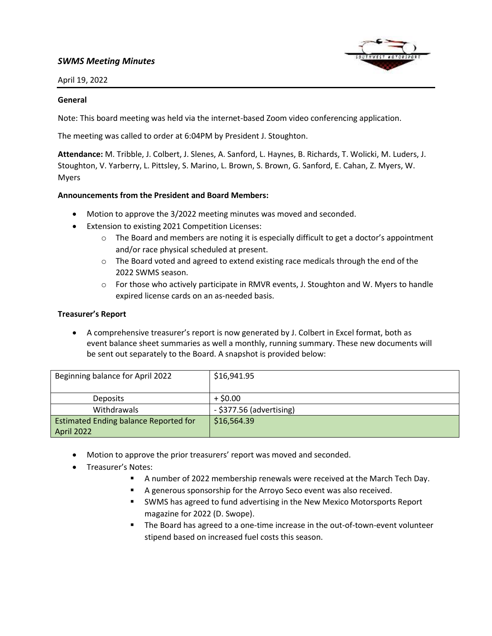# *SWMS Meeting Minutes*



April 19, 2022

#### **General**

Note: This board meeting was held via the internet-based Zoom video conferencing application.

The meeting was called to order at 6:04PM by President J. Stoughton.

**Attendance:** M. Tribble, J. Colbert, J. Slenes, A. Sanford, L. Haynes, B. Richards, T. Wolicki, M. Luders, J. Stoughton, V. Yarberry, L. Pittsley, S. Marino, L. Brown, S. Brown, G. Sanford, E. Cahan, Z. Myers, W. Myers

#### **Announcements from the President and Board Members:**

- Motion to approve the 3/2022 meeting minutes was moved and seconded.
- Extension to existing 2021 Competition Licenses:
	- $\circ$  The Board and members are noting it is especially difficult to get a doctor's appointment and/or race physical scheduled at present.
	- $\circ$  The Board voted and agreed to extend existing race medicals through the end of the 2022 SWMS season.
	- o For those who actively participate in RMVR events, J. Stoughton and W. Myers to handle expired license cards on an as-needed basis.

### **Treasurer's Report**

• A comprehensive treasurer's report is now generated by J. Colbert in Excel format, both as event balance sheet summaries as well a monthly, running summary. These new documents will be sent out separately to the Board. A snapshot is provided below:

| Beginning balance for April 2022             | \$16,941.95                |
|----------------------------------------------|----------------------------|
| <b>Deposits</b>                              | $+$ \$0.00                 |
| Withdrawals                                  | $-$ \$377.56 (advertising) |
| <b>Estimated Ending balance Reported for</b> | \$16,564.39                |
| April 2022                                   |                            |

- Motion to approve the prior treasurers' report was moved and seconded.
- Treasurer's Notes:
	- A number of 2022 membership renewals were received at the March Tech Day.
	- A generous sponsorship for the Arroyo Seco event was also received.
	- SWMS has agreed to fund advertising in the New Mexico Motorsports Report magazine for 2022 (D. Swope).
	- The Board has agreed to a one-time increase in the out-of-town-event volunteer stipend based on increased fuel costs this season.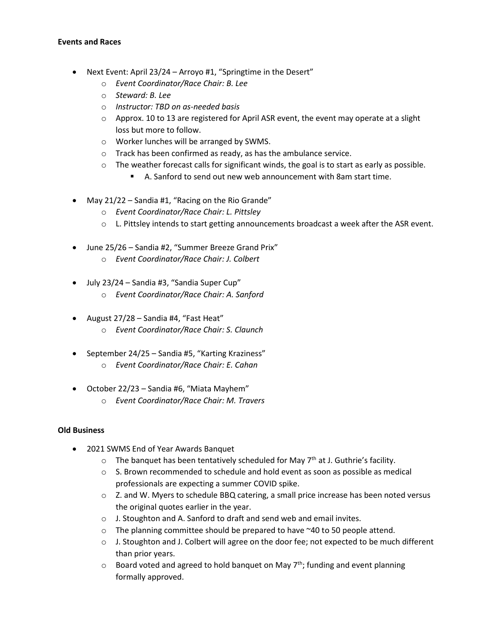### **Events and Races**

- Next Event: April 23/24 Arroyo #1, "Springtime in the Desert"
	- o *Event Coordinator/Race Chair: B. Lee*
	- o *Steward: B. Lee*
	- o *Instructor: TBD on as-needed basis*
	- $\circ$  Approx. 10 to 13 are registered for April ASR event, the event may operate at a slight loss but more to follow.
	- o Worker lunches will be arranged by SWMS.
	- o Track has been confirmed as ready, as has the ambulance service.
	- $\circ$  The weather forecast calls for significant winds, the goal is to start as early as possible.
		- A. Sanford to send out new web announcement with 8am start time.
- May 21/22 Sandia #1, "Racing on the Rio Grande"
	- o *Event Coordinator/Race Chair: L. Pittsley*
	- o L. Pittsley intends to start getting announcements broadcast a week after the ASR event.
- June 25/26 Sandia #2, "Summer Breeze Grand Prix"
	- o *Event Coordinator/Race Chair: J. Colbert*
- July 23/24 Sandia #3, "Sandia Super Cup"
	- o *Event Coordinator/Race Chair: A. Sanford*
- August 27/28 Sandia #4, "Fast Heat" o *Event Coordinator/Race Chair: S. Claunch*
- September 24/25 Sandia #5, "Karting Kraziness"
	- o *Event Coordinator/Race Chair: E. Cahan*
- October 22/23 Sandia #6, "Miata Mayhem"
	- o *Event Coordinator/Race Chair: M. Travers*

### **Old Business**

- 2021 SWMS End of Year Awards Banquet
	- $\circ$  The banquet has been tentatively scheduled for May  $7<sup>th</sup>$  at J. Guthrie's facility.
	- $\circ$  S. Brown recommended to schedule and hold event as soon as possible as medical professionals are expecting a summer COVID spike.
	- $\circ$  Z. and W. Myers to schedule BBQ catering, a small price increase has been noted versus the original quotes earlier in the year.
	- o J. Stoughton and A. Sanford to draft and send web and email invites.
	- o The planning committee should be prepared to have ~40 to 50 people attend.
	- $\circ$  J. Stoughton and J. Colbert will agree on the door fee; not expected to be much different than prior years.
	- $\circ$  Board voted and agreed to hold banquet on May 7<sup>th</sup>; funding and event planning formally approved.